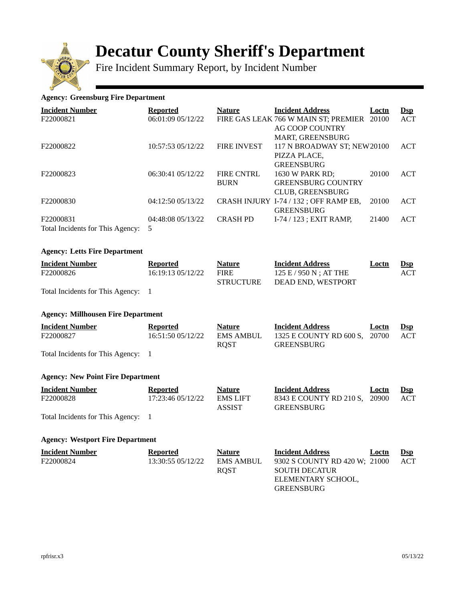

# **Decatur County Sheriff's Department**

Fire Incident Summary Report, by Incident Number

## **Agency: Greensburg Fire Department**

| <b>Incident Number</b>           | <b>Reported</b>   | <b>Nature</b>      | <b>Incident Address</b>               | Loctn | $\mathbf{Dsp}$ |
|----------------------------------|-------------------|--------------------|---------------------------------------|-------|----------------|
| F22000821                        | 06:01:09 05/12/22 |                    | FIRE GAS LEAK 766 W MAIN ST: PREMIER  | 20100 | ACT            |
|                                  |                   |                    | <b>AG COOP COUNTRY</b>                |       |                |
|                                  |                   |                    | <b>MART, GREENSBURG</b>               |       |                |
| F22000822                        | 10:57:53 05/12/22 | <b>FIRE INVEST</b> | 117 N BROADWAY ST: NEW20100           |       | ACT            |
|                                  |                   |                    | PIZZA PLACE,                          |       |                |
|                                  |                   |                    | <b>GREENSBURG</b>                     |       |                |
| F22000823                        | 06:30:41 05/12/22 | <b>FIRE CNTRL</b>  | 1630 W PARK RD;                       | 20100 | ACT            |
|                                  |                   | <b>BURN</b>        | <b>GREENSBURG COUNTRY</b>             |       |                |
|                                  |                   |                    | <b>CLUB. GREENSBURG</b>               |       |                |
| F22000830                        | 04:12:50 05/13/22 |                    | CRASH INJURY I-74 / 132; OFF RAMP EB, | 20100 | ACT            |
|                                  |                   |                    | <b>GREENSBURG</b>                     |       |                |
| F22000831                        | 04:48:08 05/13/22 | <b>CRASH PD</b>    | $I-74/123$ : EXIT RAMP.               | 21400 | ACT            |
| Total Incidents for This Agency: | 5                 |                    |                                       |       |                |

## **Agency: Letts Fire Department**

| <b>Incident Number</b> | Reported          | <b>Nature</b>    | <b>Incident Address</b>  | <u>Loctn</u> | $\mathbf{Dsp}$ |
|------------------------|-------------------|------------------|--------------------------|--------------|----------------|
| F22000826              | 16:19:13 05/12/22 | <b>FIRE</b>      | $125 E / 950 N$ : AT THE |              | ACT            |
|                        |                   | <b>STRUCTURE</b> | DEAD END, WESTPORT       |              |                |

Total Incidents for This Agency: 1

#### **Agency: Millhousen Fire Department**

| <b>Incident Number</b>             | <b>Reported</b>   | <b>Nature</b>    | <b>Incident Address</b>       | Loctn | $\mathbf{DSD}$ |
|------------------------------------|-------------------|------------------|-------------------------------|-------|----------------|
| F22000827                          | 16:51:50 05/12/22 | <b>EMS AMBUL</b> | 1325 E COUNTY RD 600 S, 20700 |       | ACT            |
|                                    |                   | ROST             | <b>GREENSBURG</b>             |       |                |
| Total Incidents for This Agency: 1 |                   |                  |                               |       |                |

## **Agency: New Point Fire Department**

| <b>Incident Number</b> | <b>Reported</b>   | Nature                    | <b>Incident Address</b>                     | Loctn | $\mathbf{Dsp}$ |
|------------------------|-------------------|---------------------------|---------------------------------------------|-------|----------------|
| F22000828              | 17:23:46 05/12/22 | <b>EMS LIFT</b><br>ASSIST | 8343 E COUNTY RD 210 S. 20900<br>GREENSBURG |       | ACT            |
|                        |                   |                           |                                             |       |                |

Total Incidents for This Agency: 1

#### **Agency: Westport Fire Department**

| <b>Incident Number</b> | Reported          | <b>Nature</b> | <b>Incident Address</b><br><b>Loctn</b> | $\mathbf{Dsp}$ |
|------------------------|-------------------|---------------|-----------------------------------------|----------------|
| F22000824              | 13:30:55 05/12/22 | EMS AMBUL     | 9302 S COUNTY RD 420 W; 21000           | ACT            |
|                        |                   | <b>ROST</b>   | <b>SOUTH DECATUR</b>                    |                |
|                        |                   |               | ELEMENTARY SCHOOL,                      |                |
|                        |                   |               | GREENSBURG                              |                |